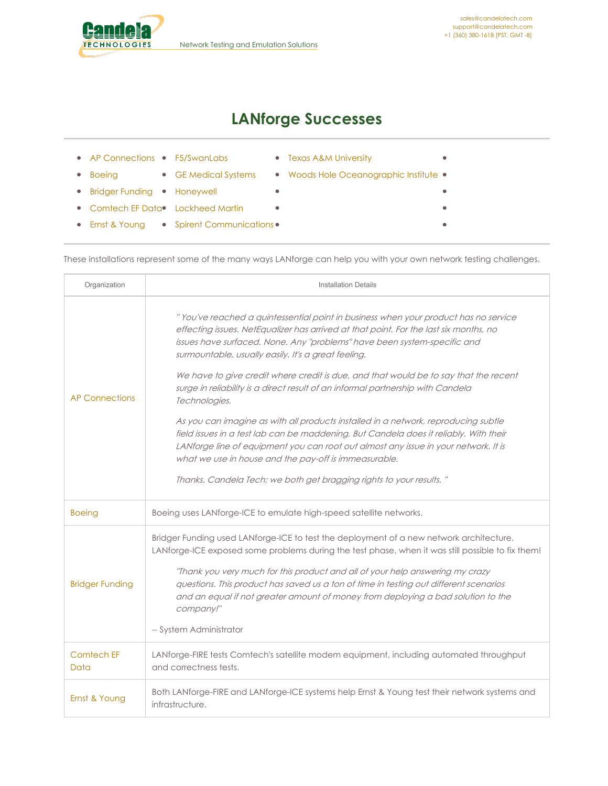<span id="page-0-0"></span>

 $\bullet$ 

 $\bullet$  $\bullet$ 

## **LANforge Successes**

- AP [Connections](#page-0-0) [F5/SwanLabs](#page-0-0)
- **•** Texas A&M [University](#page-0-0)
- Woods Hole [Oceanographic](#page-0-0) Institute •
- Bridger [Funding](#page-0-0) [Honeywell](#page-0-0)

• [Boeing](#page-0-0)

- [Comtech](#page-0-0) EF Data Clockheed Martin
	- $\bullet$

 $\bullet$ 

Ernst & [Young](#page-0-0) • Spirent [Communications](#page-0-0) •

GE [Medical](#page-0-0) Systems

These installations represent some of the many ways LANforge can help you with your own network testing challenges.

| Organization           | <b>Installation Details</b>                                                                                                                                                                                                                                                                                                                                                                                                                                                                                                                                                                                                                                                                                                                                                                                                                                                                                       |
|------------------------|-------------------------------------------------------------------------------------------------------------------------------------------------------------------------------------------------------------------------------------------------------------------------------------------------------------------------------------------------------------------------------------------------------------------------------------------------------------------------------------------------------------------------------------------------------------------------------------------------------------------------------------------------------------------------------------------------------------------------------------------------------------------------------------------------------------------------------------------------------------------------------------------------------------------|
| <b>AP Connections</b>  | "You've reached a quintessential point in business when your product has no service<br>effecting issues. NetEqualizer has arrived at that point. For the last six months, no<br>issues have surfaced. None. Any "problems" have been system-specific and<br>surmountable, usually easily. It's a great feeling.<br>We have to give credit where credit is due, and that would be to say that the recent<br>surge in reliability is a direct result of an informal partnership with Candela<br>Technologies.<br>As you can imagine as with all products installed in a network, reproducing subtle<br>field issues in a test lab can be maddening. But Candela does it reliably. With their<br>LANforge line of equipment you can root out almost any issue in your network. It is<br>what we use in house and the pay-off is immeasurable.<br>Thanks, Candela Tech; we both get bragging rights to your results." |
| <b>Boeing</b>          | Boeing uses LANforge-ICE to emulate high-speed satellite networks.                                                                                                                                                                                                                                                                                                                                                                                                                                                                                                                                                                                                                                                                                                                                                                                                                                                |
| <b>Bridger Funding</b> | Bridger Funding used LANforge-ICE to test the deployment of a new network architecture.<br>LANforge-ICE exposed some problems during the test phase, when it was still possible to fix them!<br>"Thank you very much for this product and all of your help answering my crazy<br>questions. This product has saved us a ton of time in testing out different scenarios<br>and an equal if not greater amount of money from deploying a bad solution to the<br>company!"<br>-- System Administrator                                                                                                                                                                                                                                                                                                                                                                                                                |
| Comtech EF<br>Data     | LANforge-FIRE tests Comtech's satellite modem equipment, including automated throughput<br>and correctness tests.                                                                                                                                                                                                                                                                                                                                                                                                                                                                                                                                                                                                                                                                                                                                                                                                 |
| Ernst & Young          | Both LANforge-FIRE and LANforge-ICE systems help Ernst & Young test their network systems and<br>infrastructure.                                                                                                                                                                                                                                                                                                                                                                                                                                                                                                                                                                                                                                                                                                                                                                                                  |